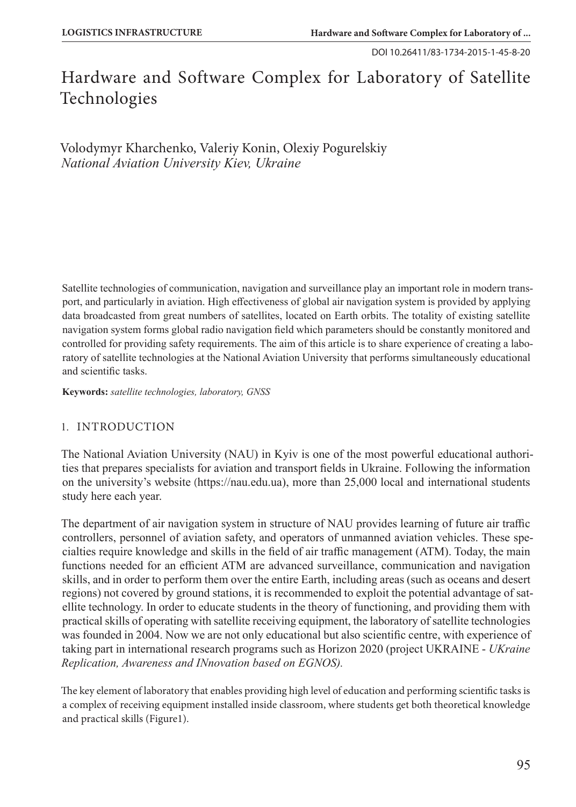DOI 10.26411/83-1734-2015-1-45-8-20

# Hardware and Software Complex for Laboratory of Satellite Technologies

Volodymyr Kharchenko, Valeriy Konin, Olexiy Pogurelskiy *National Aviation University Kiev, Ukraine*

Satellite technologies of communication, navigation and surveillance play an important role in modern transport, and particularly in aviation. High effectiveness of global air navigation system is provided by applying data broadcasted from great numbers of satellites, located on Earth orbits. The totality of existing satellite navigation system forms global radio navigation field which parameters should be constantly monitored and controlled for providing safety requirements. The aim of this article is to share experience of creating a laboratory of satellite technologies at the National Aviation University that performs simultaneously educational and scientific tasks.

**Keywords:** *satellite technologies, laboratory, GNSS*

# 1. INTRODUCTION

The National Aviation University (NAU) in Kyiv is one of the most powerful educational authorities that prepares specialists for aviation and transport fields in Ukraine. Following the information on the university's website (https://nau.edu.ua), more than 25,000 local and international students study here each year.

The department of air navigation system in structure of NAU provides learning of future air traffic controllers, personnel of aviation safety, and operators of unmanned aviation vehicles. These specialties require knowledge and skills in the field of air traffic management (ATM). Today, the main functions needed for an efficient ATM are advanced surveillance, communication and navigation skills, and in order to perform them over the entire Earth, including areas (such as oceans and desert regions) not covered by ground stations, it is recommended to exploit the potential advantage of satellite technology. In order to educate students in the theory of functioning, and providing them with practical skills of operating with satellite receiving equipment, the laboratory of satellite technologies was founded in 2004. Now we are not only educational but also scientific centre, with experience of taking part in international research programs such as Horizon 2020 (project UKRAINE - *UKraine Replication, Awareness and INnovation based on EGNOS).*

The key element of laboratory that enables providing high level of education and performing scientific tasks is a complex of receiving equipment installed inside classroom, where students get both theoretical knowledge and practical skills (Figure1).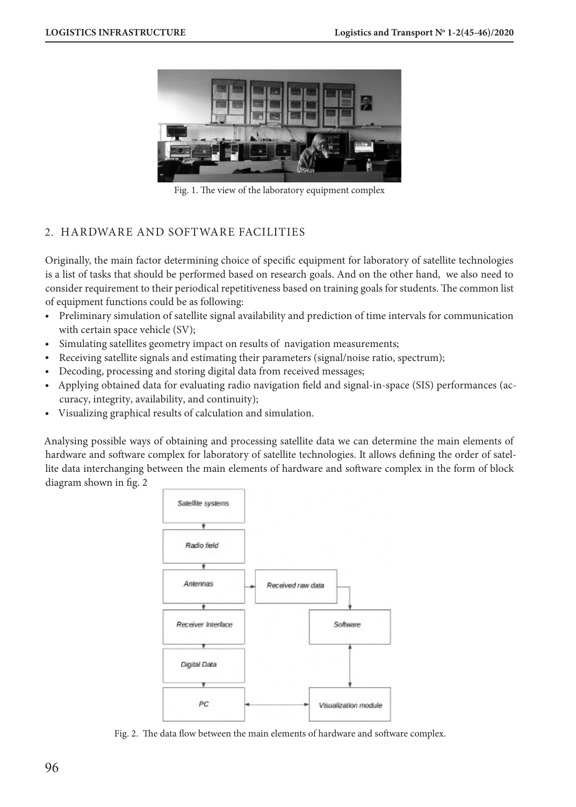

Fig. 1. The view of the laboratory equipment complex

# 2. HARDWARE AND SOFTWARE FACILITIES

Originally, the main factor determining choice of specific equipment for laboratory of satellite technologies is a list of tasks that should be performed based on research goals. And on the other hand, we also need to consider requirement to their periodical repetitiveness based on training goals for students. The common list of equipment functions could be as following:

- Preliminary simulation of satellite signal availability and prediction of time intervals for communication with certain space vehicle (SV);
- Simulating satellites geometry impact on results of navigation measurements;
- Receiving satellite signals and estimating their parameters (signal/noise ratio, spectrum);
- Decoding, processing and storing digital data from received messages;
- Applying obtained data for evaluating radio navigation field and signal-in-space (SIS) performances (accuracy, integrity, availability, and continuity);
- Visualizing graphical results of calculation and simulation.

Analysing possible ways of obtaining and processing satellite data we can determine the main elements of hardware and software complex for laboratory of satellite technologies. It allows defining the order of satellite data interchanging between the main elements of hardware and software complex in the form of block diagram shown in fig. 2



Fig. 2. The data flow between the main elements of hardware and software complex.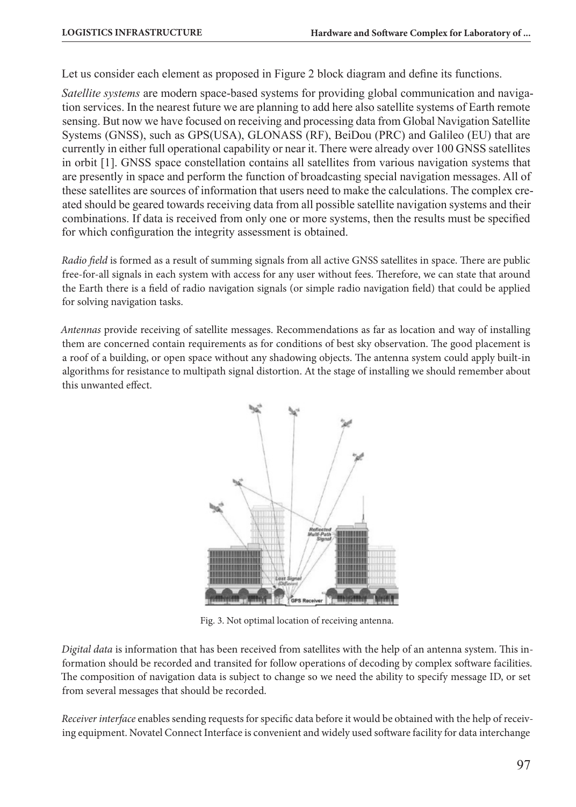Let us consider each element as proposed in Figure 2 block diagram and define its functions.

*Satellite systems* are modern space-based systems for providing global communication and navigation services. In the nearest future we are planning to add here also satellite systems of Earth remote sensing. But now we have focused on receiving and processing data from Global Navigation Satellite Systems (GNSS), such as GPS(USA), GLONASS (RF), BeiDou (PRC) and Galileo (EU) that are currently in either full operational capability or near it. There were already over 100 GNSS satellites in orbit [1]. GNSS space constellation contains all satellites from various navigation systems that are presently in space and perform the function of broadcasting special navigation messages. All of these satellites are sources of information that users need to make the calculations. The complex created should be geared towards receiving data from all possible satellite navigation systems and their combinations. If data is received from only one or more systems, then the results must be specified for which configuration the integrity assessment is obtained.

*Radio field* is formed as a result of summing signals from all active GNSS satellites in space. There are public free-for-all signals in each system with access for any user without fees. Therefore, we can state that around the Earth there is a field of radio navigation signals (or simple radio navigation field) that could be applied for solving navigation tasks.

*Antennas* provide receiving of satellite messages. Recommendations as far as location and way of installing them are concerned contain requirements as for conditions of best sky observation. The good placement is a roof of a building, or open space without any shadowing objects. The antenna system could apply built-in algorithms for resistance to multipath signal distortion. At the stage of installing we should remember about this unwanted effect.



Fig. 3. Not optimal location of receiving antenna.

*Digital data* is information that has been received from satellites with the help of an antenna system. This information should be recorded and transited for follow operations of decoding by complex software facilities. The composition of navigation data is subject to change so we need the ability to specify message ID, or set from several messages that should be recorded.

*Receiver interface* enables sending requests for specific data before it would be obtained with the help of receiving equipment. Novatel Connect Interface is convenient and widely used software facility for data interchange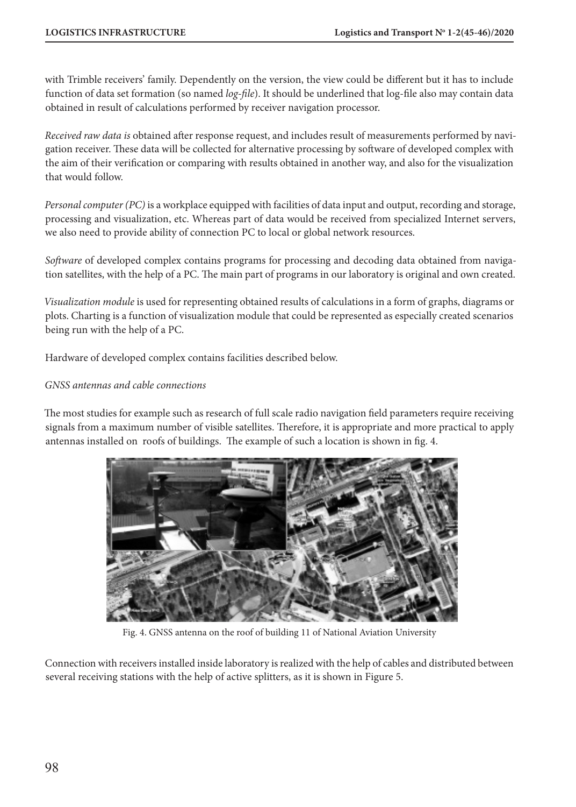with Trimble receivers' family. Dependently on the version, the view could be different but it has to include function of data set formation (so named *log-file*). It should be underlined that log-file also may contain data obtained in result of calculations performed by receiver navigation processor.

*Received raw data is* obtained after response request, and includes result of measurements performed by navigation receiver. These data will be collected for alternative processing by software of developed complex with the aim of their verification or comparing with results obtained in another way, and also for the visualization that would follow.

*Personal computer (PC)* is a workplace equipped with facilities of data input and output, recording and storage, processing and visualization, etc. Whereas part of data would be received from specialized Internet servers, we also need to provide ability of connection PC to local or global network resources.

*Software* of developed complex contains programs for processing and decoding data obtained from navigation satellites, with the help of a PC. The main part of programs in our laboratory is original and own created.

*Visualization module* is used for representing obtained results of calculations in a form of graphs, diagrams or plots. Charting is a function of visualization module that could be represented as especially created scenarios being run with the help of a PC.

Hardware of developed complex contains facilities described below.

#### *GNSS antennas and cable connections*

The most studies for example such as research of full scale radio navigation field parameters require receiving signals from a maximum number of visible satellites. Therefore, it is appropriate and more practical to apply antennas installed on roofs of buildings. The example of such a location is shown in fig. 4.



Fig. 4. GNSS antenna on the roof of building 11 of National Aviation University

Connection with receivers installed inside laboratory is realized with the help of cables and distributed between several receiving stations with the help of active splitters, as it is shown in Figure 5.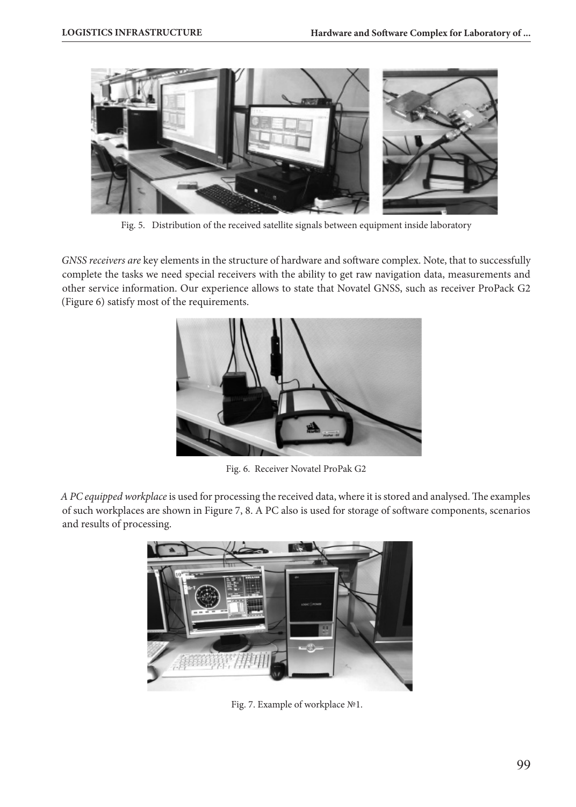

Fig. 5. Distribution of the received satellite signals between equipment inside laboratory

*GNSS receivers are* key elements in the structure of hardware and software complex. Note, that to successfully complete the tasks we need special receivers with the ability to get raw navigation data, measurements and other service information. Our experience allows to state that Novatel GNSS, such as receiver ProPack G2 (Figure 6) satisfy most of the requirements.



Fig. 6. Receiver Novatel ProPak G2

*A PC equipped workplace* is used for processing the received data, where it is stored and analysed. The examples of such workplaces are shown in Figure 7, 8. A PC also is used for storage of software components, scenarios and results of processing.



Fig. 7. Example of workplace №1.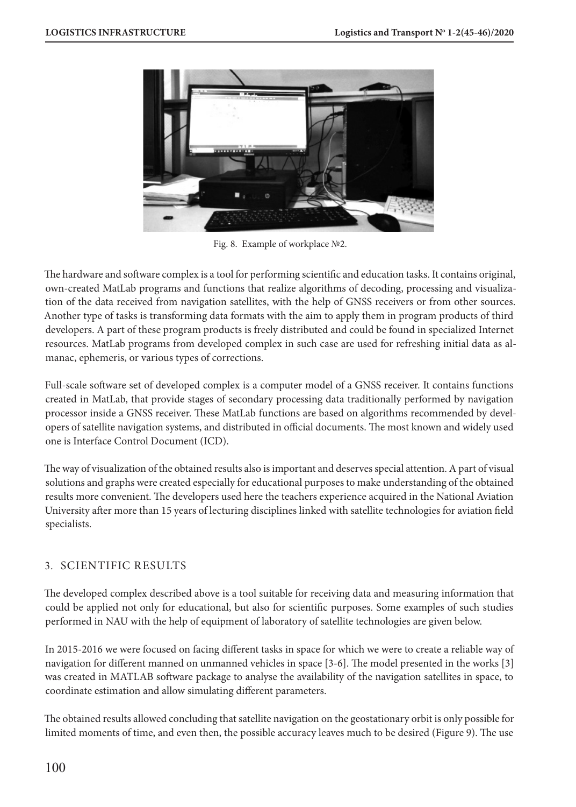

Fig. 8. Example of workplace №2.

The hardware and software complex is a tool for performing scientific and education tasks. It contains original, own-created MatLab programs and functions that realize algorithms of decoding, processing and visualization of the data received from navigation satellites, with the help of GNSS receivers or from other sources. Another type of tasks is transforming data formats with the aim to apply them in program products of third developers. A part of these program products is freely distributed and could be found in specialized Internet resources. MatLab programs from developed complex in such case are used for refreshing initial data as almanac, ephemeris, or various types of corrections.

Full-scale software set of developed complex is a computer model of a GNSS receiver. It contains functions created in MatLab, that provide stages of secondary processing data traditionally performed by navigation processor inside a GNSS receiver. These MatLab functions are based on algorithms recommended by developers of satellite navigation systems, and distributed in official documents. The most known and widely used one is Interface Control Document (ICD).

The way of visualization of the obtained results also is important and deserves special attention. A part of visual solutions and graphs were created especially for educational purposes to make understanding of the obtained results more convenient. The developers used here the teachers experience acquired in the National Aviation University after more than 15 years of lecturing disciplines linked with satellite technologies for aviation field specialists.

# 3. SCIENTIFIC RESULTS

The developed complex described above is a tool suitable for receiving data and measuring information that could be applied not only for educational, but also for scientific purposes. Some examples of such studies performed in NAU with the help of equipment of laboratory of satellite technologies are given below.

In 2015-2016 we were focused on facing different tasks in space for which we were to create a reliable way of navigation for different manned on unmanned vehicles in space [3-6]. The model presented in the works [3] was created in MATLAB software package to analyse the availability of the navigation satellites in space, to coordinate estimation and allow simulating different parameters.

The obtained results allowed concluding that satellite navigation on the geostationary orbit is only possible for limited moments of time, and even then, the possible accuracy leaves much to be desired (Figure 9). The use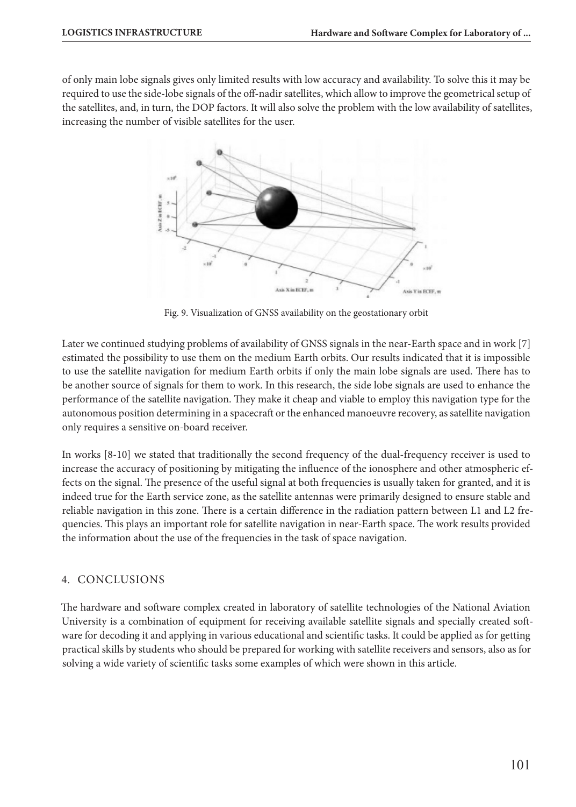of only main lobe signals gives only limited results with low accuracy and availability. To solve this it may be required to use the side-lobe signals of the off-nadir satellites, which allow to improve the geometrical setup of the satellites, and, in turn, the DOP factors. It will also solve the problem with the low availability of satellites, increasing the number of visible satellites for the user.



Fig. 9. Visualization of GNSS availability on the geostationary orbit

Later we continued studying problems of availability of GNSS signals in the near-Earth space and in work [7] estimated the possibility to use them on the medium Earth orbits. Our results indicated that it is impossible to use the satellite navigation for medium Earth orbits if only the main lobe signals are used. There has to be another source of signals for them to work. In this research, the side lobe signals are used to enhance the performance of the satellite navigation. They make it cheap and viable to employ this navigation type for the autonomous position determining in a spacecraft or the enhanced manoeuvre recovery, as satellite navigation only requires a sensitive on-board receiver.

In works [8-10] we stated that traditionally the second frequency of the dual-frequency receiver is used to increase the accuracy of positioning by mitigating the influence of the ionosphere and other atmospheric effects on the signal. The presence of the useful signal at both frequencies is usually taken for granted, and it is indeed true for the Earth service zone, as the satellite antennas were primarily designed to ensure stable and reliable navigation in this zone. There is a certain difference in the radiation pattern between L1 and L2 frequencies. This plays an important role for satellite navigation in near-Earth space. The work results provided the information about the use of the frequencies in the task of space navigation.

# 4. CONCLUSIONS

The hardware and software complex created in laboratory of satellite technologies of the National Aviation University is a combination of equipment for receiving available satellite signals and specially created software for decoding it and applying in various educational and scientific tasks. It could be applied as for getting practical skills by students who should be prepared for working with satellite receivers and sensors, also as for solving a wide variety of scientific tasks some examples of which were shown in this article.